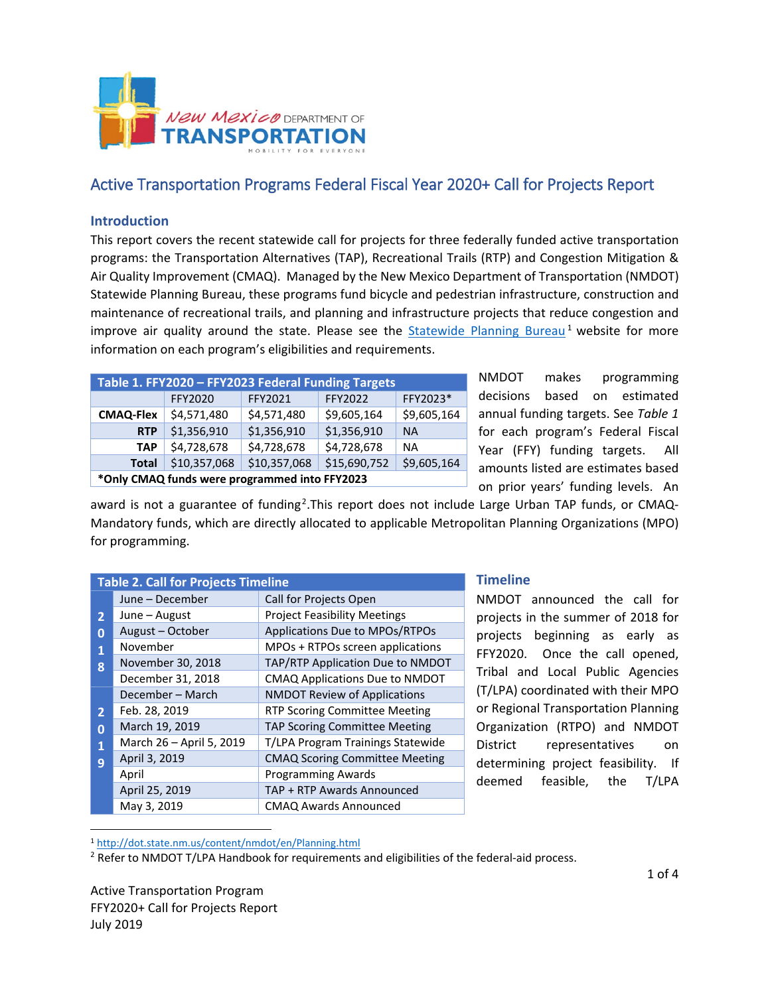

# Active Transportation Programs Federal Fiscal Year 2020+ Call for Projects Report

## **Introduction**

This report covers the recent statewide call for projects for three federally funded active transportation programs: the Transportation Alternatives (TAP), Recreational Trails (RTP) and Congestion Mitigation & Air Quality Improvement (CMAQ). Managed by the New Mexico Department of Transportation (NMDOT) Statewide Planning Bureau, these programs fund bicycle and pedestrian infrastructure, construction and maintenance of recreational trails, and planning and infrastructure projects that reduce congestion and improve air quality around the state. Please see the  $Statewide$  Planning Bureau<sup>[1](#page-0-0)</sup> website for more information on each program's eligibilities and requirements.

| Table 1. FFY2020 - FFY2023 Federal Funding Targets            |              |              |              |             |  |
|---------------------------------------------------------------|--------------|--------------|--------------|-------------|--|
|                                                               | FFY2020      | FFY2021      | FFY2022      | FFY2023*    |  |
| \$4,571,480<br>\$4,571,480<br>\$9,605,164<br><b>CMAQ-Flex</b> |              | \$9,605,164  |              |             |  |
| <b>RTP</b>                                                    | \$1,356,910  | \$1,356,910  | \$1,356,910  | <b>NA</b>   |  |
| \$4,728,678<br><b>TAP</b>                                     |              | \$4,728,678  | \$4,728,678  | <b>NA</b>   |  |
| <b>Total</b>                                                  | \$10,357,068 | \$10,357,068 | \$15,690,752 | \$9,605,164 |  |
| *Only CMAQ funds were programmed into FFY2023                 |              |              |              |             |  |

NMDOT makes programming decisions based on estimated annual funding targets. See *Table 1* for each program's Federal Fiscal Year (FFY) funding targets. All amounts listed are estimates based on prior years' funding levels. An

award is not a guarantee of funding<sup>[2](#page-0-1)</sup>. This report does not include Large Urban TAP funds, or CMAQ-Mandatory funds, which are directly allocated to applicable Metropolitan Planning Organizations (MPO) for programming.

| <b>Table 2. Call for Projects Timeline</b> |                          |                                       |  |  |
|--------------------------------------------|--------------------------|---------------------------------------|--|--|
|                                            | June – December          | Call for Projects Open                |  |  |
| $\mathbf{2}$                               | June – August            | <b>Project Feasibility Meetings</b>   |  |  |
| Ω                                          | August-October           | Applications Due to MPOs/RTPOs        |  |  |
| 1                                          | November                 | MPOs + RTPOs screen applications      |  |  |
| 8                                          | November 30, 2018        | TAP/RTP Application Due to NMDOT      |  |  |
|                                            | December 31, 2018        | CMAQ Applications Due to NMDOT        |  |  |
|                                            | December - March         | <b>NMDOT Review of Applications</b>   |  |  |
| $\overline{2}$                             | Feb. 28, 2019            | RTP Scoring Committee Meeting         |  |  |
| 0                                          | March 19, 2019           | <b>TAP Scoring Committee Meeting</b>  |  |  |
| 1                                          | March 26 - April 5, 2019 | T/LPA Program Trainings Statewide     |  |  |
| 9                                          | April 3, 2019            | <b>CMAQ Scoring Committee Meeting</b> |  |  |
|                                            | April                    | <b>Programming Awards</b>             |  |  |
|                                            | April 25, 2019           | TAP + RTP Awards Announced            |  |  |
|                                            | May 3, 2019              | <b>CMAQ Awards Announced</b>          |  |  |

#### **Timeline**

NMDOT announced the call for projects in the summer of 2018 for projects beginning as early as FFY2020. Once the call opened, Tribal and Local Public Agencies (T/LPA) coordinated with their MPO or Regional Transportation Planning Organization (RTPO) and NMDOT District representatives on determining project feasibility. If deemed feasible, the T/LPA

<span id="page-0-0"></span>1 <http://dot.state.nm.us/content/nmdot/en/Planning.html>

<span id="page-0-1"></span> $<sup>2</sup>$  Refer to NMDOT T/LPA Handbook for requirements and eligibilities of the federal-aid process.</sup>

Active Transportation Program FFY2020+ Call for Projects Report July 2019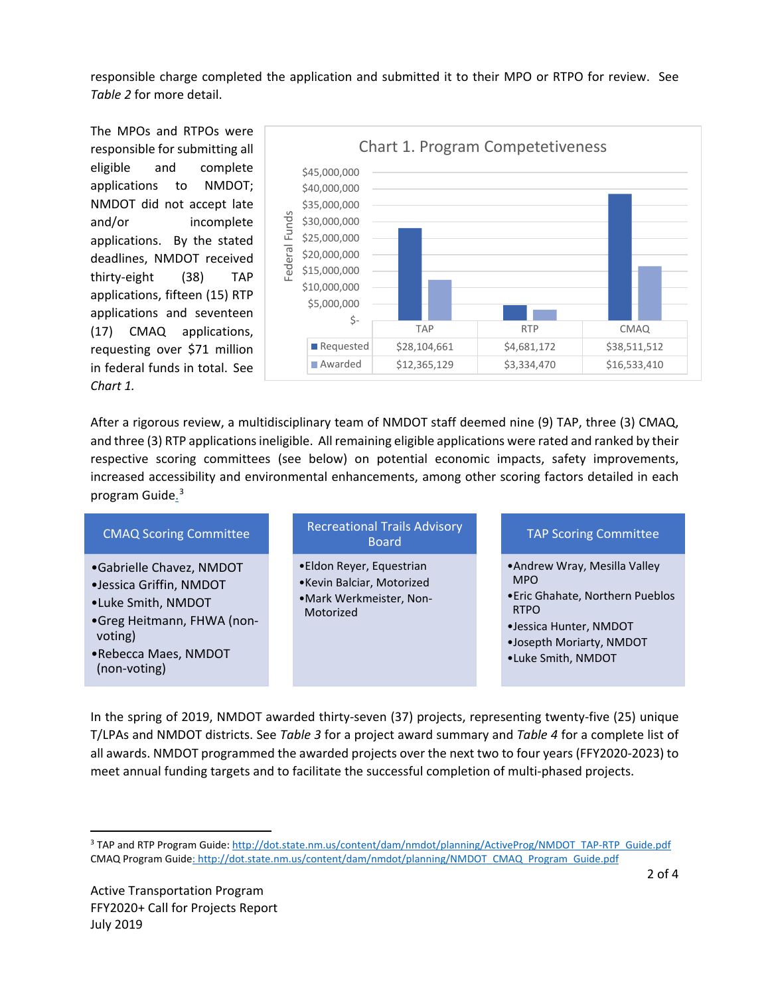responsible charge completed the application and submitted it to their MPO or RTPO for review. See *Table 2* for more detail.

The MPOs and RTPOs were responsible for submitting all eligible and complete applications to NMDOT; NMDOT did not accept late and/or incomplete applications. By the stated deadlines, NMDOT received thirty-eight (38) TAP applications, fifteen (15) RTP applications and seventeen (17) CMAQ applications, requesting over \$71 million in federal funds in total. See *Chart 1.* 



After a rigorous review, a multidisciplinary team of NMDOT staff deemed nine (9) TAP, three (3) CMAQ, and three (3) RTP applications ineligible. All remaining eligible applications were rated and ranked by their respective scoring committees (see below) on potential economic impacts, safety improvements, increased accessibility and environmental enhancements, among other scoring factors detailed in each program Guide.<sup>[3](#page-1-0)</sup>

| <b>CMAQ Scoring Committee</b>                                                                                                                              | <b>Recreational Trails Advisory</b><br><b>Board</b>                                           | <b>TAP Scoring Committee</b>                                                                                                                                               |
|------------------------------------------------------------------------------------------------------------------------------------------------------------|-----------------------------------------------------------------------------------------------|----------------------------------------------------------------------------------------------------------------------------------------------------------------------------|
| •Gabrielle Chavez, NMDOT<br>·Jessica Griffin, NMDOT<br>•Luke Smith, NMDOT<br>•Greg Heitmann, FHWA (non-<br>voting)<br>•Rebecca Maes, NMDOT<br>(non-voting) | •Eldon Reyer, Equestrian<br>•Kevin Balciar, Motorized<br>•Mark Werkmeister, Non-<br>Motorized | • Andrew Wray, Mesilla Valley<br><b>MPO</b><br>. Eric Ghahate, Northern Pueblos<br><b>RTPO</b><br>•Jessica Hunter, NMDOT<br>.Josepth Moriarty, NMDOT<br>•Luke Smith, NMDOT |

In the spring of 2019, NMDOT awarded thirty-seven (37) projects, representing twenty-five (25) unique T/LPAs and NMDOT districts. See *Table 3* for a project award summary and *Table 4* for a complete list of all awards. NMDOT programmed the awarded projects over the next two to four years (FFY2020-2023) to meet annual funding targets and to facilitate the successful completion of multi-phased projects.

<span id="page-1-0"></span> <sup>3</sup> TAP and RTP Program Guide[: http://dot.state.nm.us/content/dam/nmdot/planning/ActiveProg/NMDOT\\_TAP-RTP\\_Guide.pdf](http://dot.state.nm.us/content/dam/nmdot/planning/ActiveProg/NMDOT_TAP-RTP_Guide.pdf) CMAQ Program Guide[: http://dot.state.nm.us/content/dam/nmdot/planning/NMDOT\\_CMAQ\\_Program\\_Guide.pdf](http://dot.state.nm.us/content/dam/nmdot/planning/NMDOT_CMAQ_Program_Guide.pdf)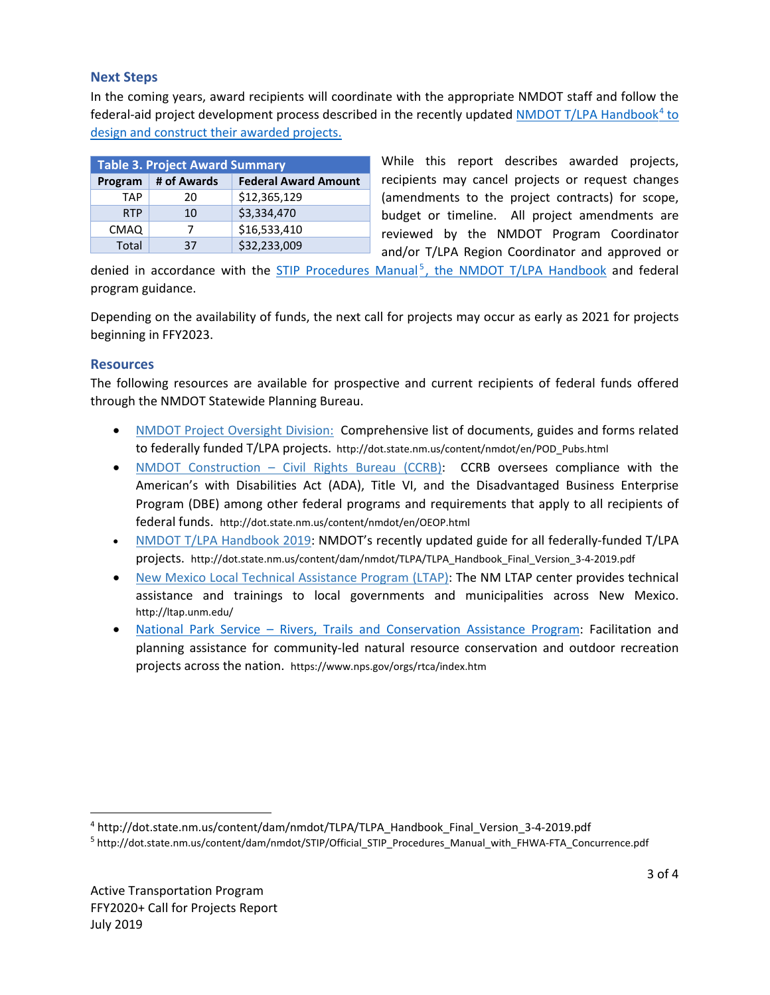## **Next Steps**

In the coming years, award recipients will coordinate with the appropriate NMDOT staff and follow the federal-aid project development process described in the recently updated [NMDOT T/LPA Handbook](http://dot.state.nm.us/content/dam/nmdot/TLPA/TLPA_Handbook_Final_Version_3-4-2019.pdf)<sup>[4](#page-2-0)</sup> to design and construct their awarded projects.

| <b>Table 3. Project Award Summary</b> |             |                             |  |  |
|---------------------------------------|-------------|-----------------------------|--|--|
| Program                               | # of Awards | <b>Federal Award Amount</b> |  |  |
| <b>TAP</b>                            | 20          | \$12,365,129                |  |  |
| <b>RTP</b>                            | 10          | \$3,334,470                 |  |  |
| <b>CMAQ</b>                           |             | \$16,533,410                |  |  |
| Total                                 | 37          | \$32,233,009                |  |  |

While this report describes awarded projects, recipients may cancel projects or request changes (amendments to the project contracts) for scope, budget or timeline. All project amendments are reviewed by the NMDOT Program Coordinator and/or T/LPA Region Coordinator and approved or

denied in accordance with the  $STIP$  Procedures Manual<sup>[5](#page-2-1)</sup>, the NMDOT T/LPA Handbook and federal program guidance.

Depending on the availability of funds, the next call for projects may occur as early as 2021 for projects beginning in FFY2023.

## **Resources**

The following resources are available for prospective and current recipients of federal funds offered through the NMDOT Statewide Planning Bureau.

- NMDOT [Project Oversight Division:](http://dot.state.nm.us/content/nmdot/en/POD_Pubs.html) Comprehensive list of documents, guides and forms related to federally funded T/LPA projects. http://dot.state.nm.us/content/nmdot/en/POD\_Pubs.html
- NMDOT Construction [Civil Rights Bureau \(CCRB\):](http://dot.state.nm.us/content/nmdot/en/OEOP.html) CCRB oversees compliance with the American's with Disabilities Act (ADA), Title VI, and the Disadvantaged Business Enterprise Program (DBE) among other federal programs and requirements that apply to all recipients of federal funds. http://dot.state.nm.us/content/nmdot/en/OEOP.html
- [NMDOT T/LPA Handbook 2019:](http://dot.state.nm.us/content/dam/nmdot/TLPA/TLPA_Handbook_Final_Version_3-4-2019.pdf) NMDOT's recently updated guide for all federally-funded T/LPA projects. http://dot.state.nm.us/content/dam/nmdot/TLPA/TLPA\_Handbook\_Final\_Version\_3-4-2019.pdf
- [New Mexico Local Technical Assistance Program \(LTAP\):](http://ltap.unm.edu/) The NM LTAP center provides technical assistance and trainings to local governments and municipalities across New Mexico. http://ltap.unm.edu/
- National Park Service [Rivers, Trails and Conservation Assistance Program:](https://www.nps.gov/orgs/rtca/index.htm) Facilitation and planning assistance for community-led natural resource conservation and outdoor recreation projects across the nation. https://www.nps.gov/orgs/rtca/index.htm

<span id="page-2-0"></span> <sup>4</sup> http://dot.state.nm.us/content/dam/nmdot/TLPA/TLPA\_Handbook\_Final\_Version\_3-4-2019.pdf

<span id="page-2-1"></span><sup>5</sup> http://dot.state.nm.us/content/dam/nmdot/STIP/Official\_STIP\_Procedures\_Manual\_with\_FHWA-FTA\_Concurrence.pdf